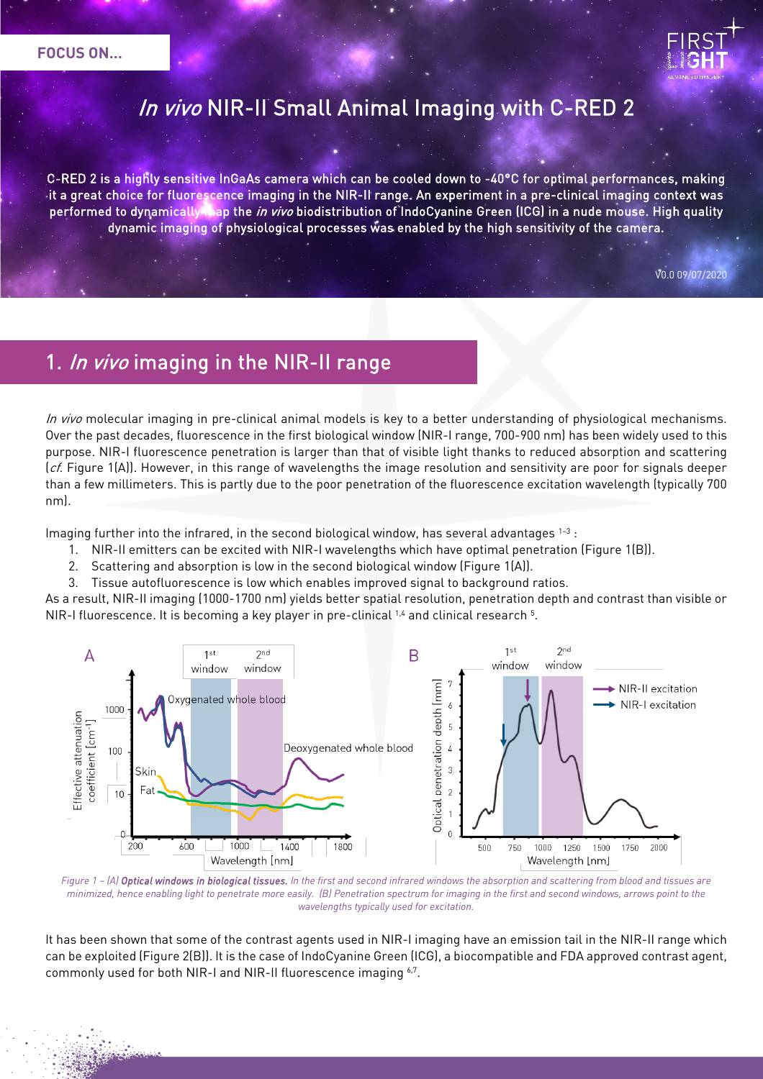

# In vivo NIR-II Small Animal Imaging with C-RED 2

C-RED 2 is a highly sensitive InGaAs camera which can be cooled down to -40°C for optimal performances, making it a great choice for fluorescence imaging in the NIR-II range. An experiment in a pre-clinical imaging context was performed to dynamically map the in vivo biodistribution of IndoCyanine Green (ICG) in a nude mouse. High quality dynamic imaging of physiological processes was enabled by the high sensitivity of the camera.

V0.0 09/07/2020

ļ

# 1. In vivo imaging in the NIR-II range

In vivo molecular imaging in pre-clinical animal models is key to a better understanding of physiological mechanisms. Over the past decades, fluorescence in the first biological window (NIR-I range, 700-900 nm) has been widely used to this purpose. NIR-I fluorescence penetration is larger than that of visible light thanks to reduced absorption and scattering  $(cf.$  Figure 1(A)). However, in this range of wavelengths the image resolution and sensitivity are poor for signals deeper than a few millimeters. This is partly due to the poor penetration of the fluorescence excitation wavelength (typically 700 nm).

Imaging further into the infrared, in the second biological window, has several advantages  $1-3$ :

- 1. NIR-II emitters can be excited with NIR-I wavelengths which have optimal penetration (Figure 1(B)).
- 2. Scattering and absorption is low in the second biological window (Figure 1(A)).
- 3. Tissue autofluorescence is low which enables improved signal to background ratios.

As a result, NIR-II imaging (1000-1700 nm) yields better spatial resolution, penetration depth and contrast than visible or NIR-I fluorescence. It is becoming a key player in pre-clinical 1.4 and clinical research 5.



*Figure 1 – (A) Optical windows in biological tissues. In the first and second infrared windows the absorption and scattering from blood and tissues are minimized, hence enabling light to penetrate more easily. (B) Penetration spectrum for imaging in the first and second windows, arrows point to the wavelengths typically used for excitation.* 

It has been shown that some of the contrast agents used in NIR-I imaging have an emission tail in the NIR-II range which can be exploited (Figure 2(B)). It is the case of IndoCyanine Green (ICG), a biocompatible and FDA approved contrast agent, commonly used for both NIR-I and NIR-II fluorescence imaging 6,7.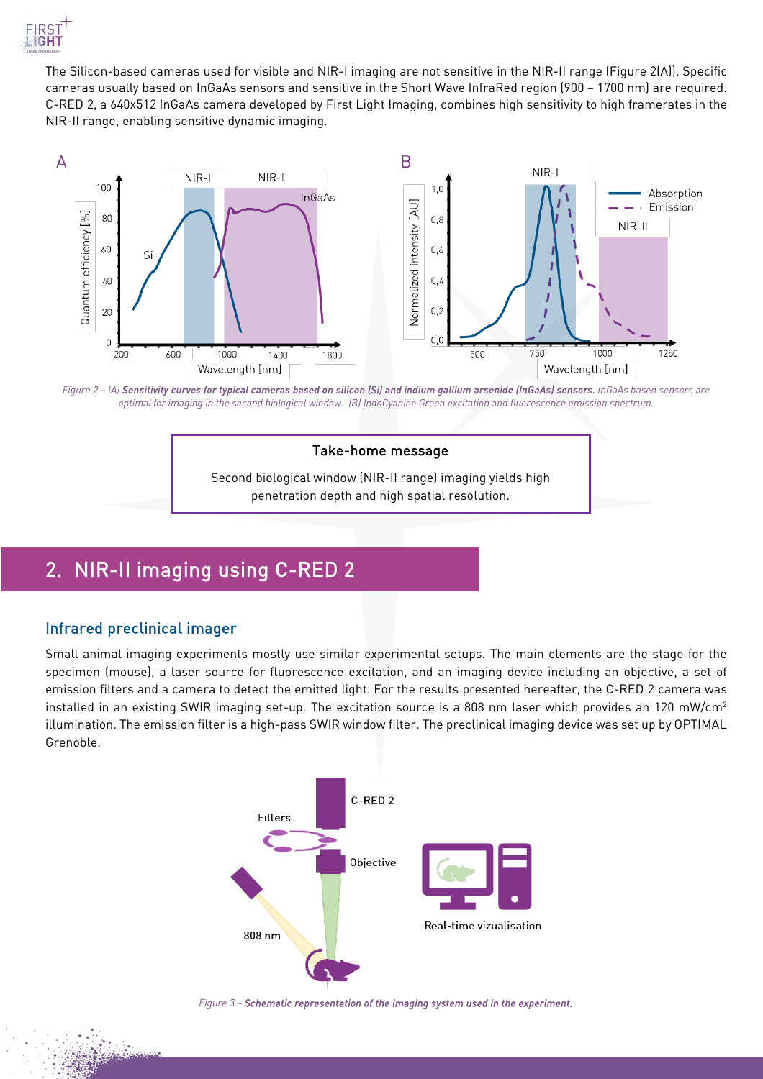

The Silicon-based cameras used for visible and NIR-I imaging are not sensitive in the NIR-II range (Figure 2(A)). Specific cameras usually based on InGaAs sensors and sensitive in the Short Wave InfraRed region (900 – 1700 nm) are required. C-RED 2, a 640x512 InGaAs camera developed by First Light Imaging, combines high sensitivity to high framerates in the NIR-II range, enabling sensitive dynamic imaging.



*Figure 2 – (A) Sensitivity curves for typical cameras based on silicon (Si) and indium gallium arsenide (InGaAs) sensors. InGaAs based sensors are optimal for imaging in the second biological window. (B) IndoCyanine Green excitation and fluorescence emission spectrum.* 

#### Take-home message

Second biological window (NIR-II range) imaging yields high penetration depth and high spatial resolution.

# 2. NIR-II imaging using C-RED 2

### Infrared preclinical imager

Small animal imaging experiments mostly use similar experimental setups. The main elements are the stage for the specimen (mouse), a laser source for fluorescence excitation, and an imaging device including an objective, a set of emission filters and a camera to detect the emitted light. For the results presented hereafter, the C-RED 2 camera was installed in an existing SWIR imaging set-up. The excitation source is a 808 nm laser which provides an 120 mW/cm<sup>2</sup> illumination. The emission filter is a high-pass SWIR window filter. The preclinical imaging device was set up by OPTIMAL Grenoble.



*Figure 3 – Schematic representation of the imaging system used in the experiment.*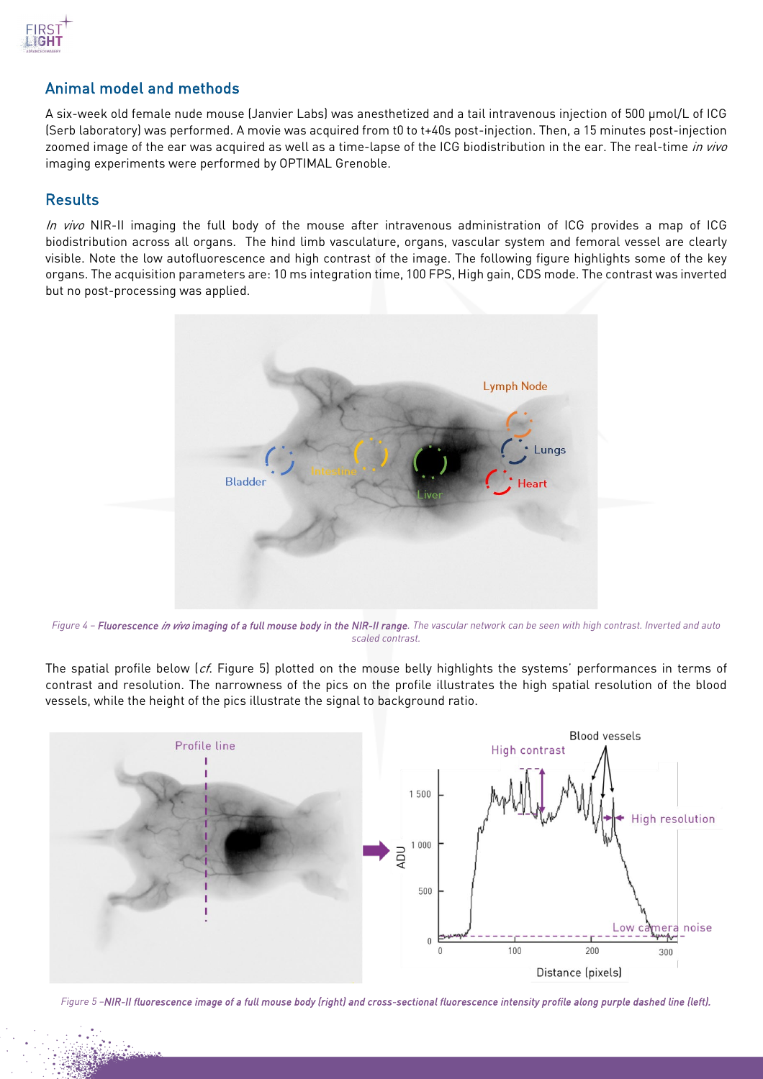

### Animal model and methods

A six-week old female nude mouse (Janvier Labs) was anesthetized and a tail intravenous injection of 500 µmol/L of ICG (Serb laboratory) was performed. A movie was acquired from t0 to t+40s post-injection. Then, a 15 minutes post-injection zoomed image of the ear was acquired as well as a time-lapse of the ICG biodistribution in the ear. The real-time in vivo imaging experiments were performed by OPTIMAL Grenoble.

### **Results**

In vivo NIR-II imaging the full body of the mouse after intravenous administration of ICG provides a map of ICG biodistribution across all organs. The hind limb vasculature, organs, vascular system and femoral vessel are clearly visible. Note the low autofluorescence and high contrast of the image. The following figure highlights some of the key organs. The acquisition parameters are: 10 ms integration time, 100 FPS, High gain, CDS mode. The contrast was inverted but no post-processing was applied.



*Figure 4 – Fluorescence in vivo imaging of a full mouse body in the NIR-II range. The vascular network can be seen with high contrast. Inverted and auto scaled contrast.* 

The spatial profile below  $(cf.$  Figure 5) plotted on the mouse belly highlights the systems' performances in terms of contrast and resolution. The narrowness of the pics on the profile illustrates the high spatial resolution of the blood vessels, while the height of the pics illustrate the signal to background ratio.



*Figure 5 –NIR-II fluorescence image of a full mouse body (right) and cross-sectional fluorescence intensity profile along purple dashed line (left).*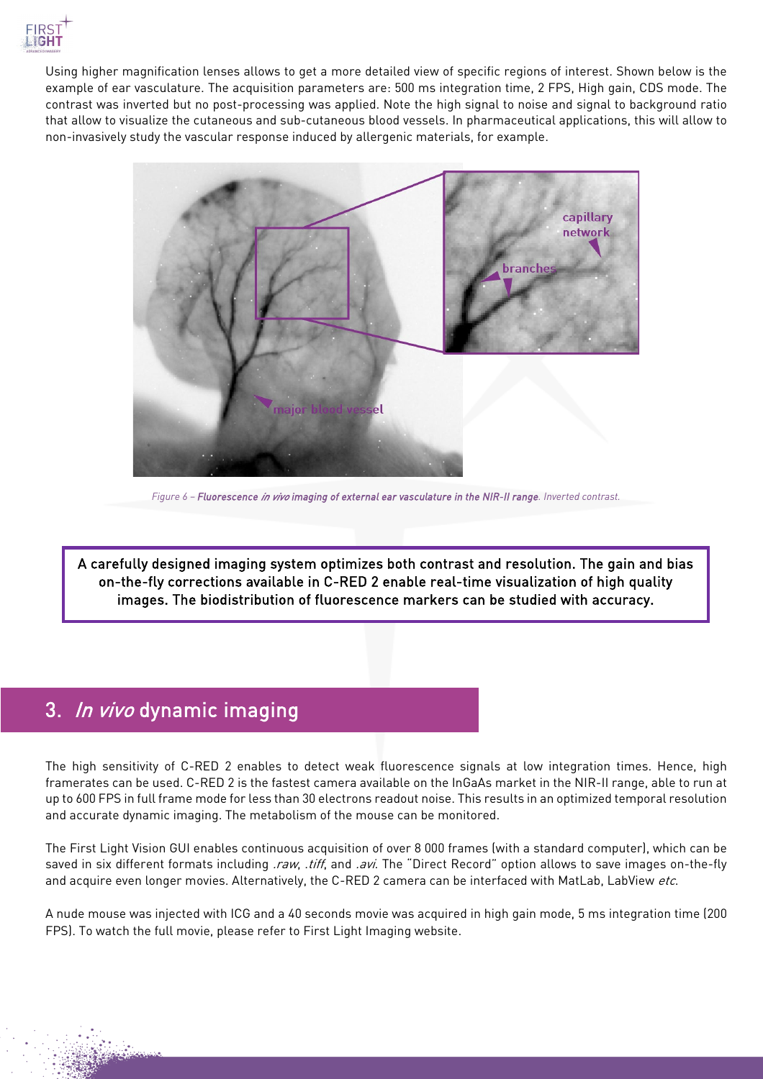

Using higher magnification lenses allows to get a more detailed view of specific regions of interest. Shown below is the example of ear vasculature. The acquisition parameters are: 500 ms integration time, 2 FPS, High gain, CDS mode. The contrast was inverted but no post-processing was applied. Note the high signal to noise and signal to background ratio that allow to visualize the cutaneous and sub-cutaneous blood vessels. In pharmaceutical applications, this will allow to non-invasively study the vascular response induced by allergenic materials, for example.



*Figure 6 – Fluorescence in vivo imaging of external ear vasculature in the NIR-II range. Inverted contrast.*

A carefully designed imaging system optimizes both contrast and resolution. The gain and bias on-the-fly corrections available in C-RED 2 enable real-time visualization of high quality images. The biodistribution of fluorescence markers can be studied with accuracy.

l

## 3. In vivo dynamic imaging

I

The high sensitivity of C-RED 2 enables to detect weak fluorescence signals at low integration times. Hence, high framerates can be used. C-RED 2 is the fastest camera available on the InGaAs market in the NIR-II range, able to run at up to 600 FPS in full frame mode for less than 30 electrons readout noise. This results in an optimized temporal resolution and accurate dynamic imaging. The metabolism of the mouse can be monitored.

The First Light Vision GUI enables continuous acquisition of over 8 000 frames (with a standard computer), which can be saved in six different formats including .raw, .tiff, and .avi. The "Direct Record" option allows to save images on-the-fly and acquire even longer movies. Alternatively, the C-RED 2 camera can be interfaced with MatLab, LabView etc.

A nude mouse was injected with ICG and a 40 seconds movie was acquired in high gain mode, 5 ms integration time (200 FPS). To watch the full movie, please refer to First Light Imaging website.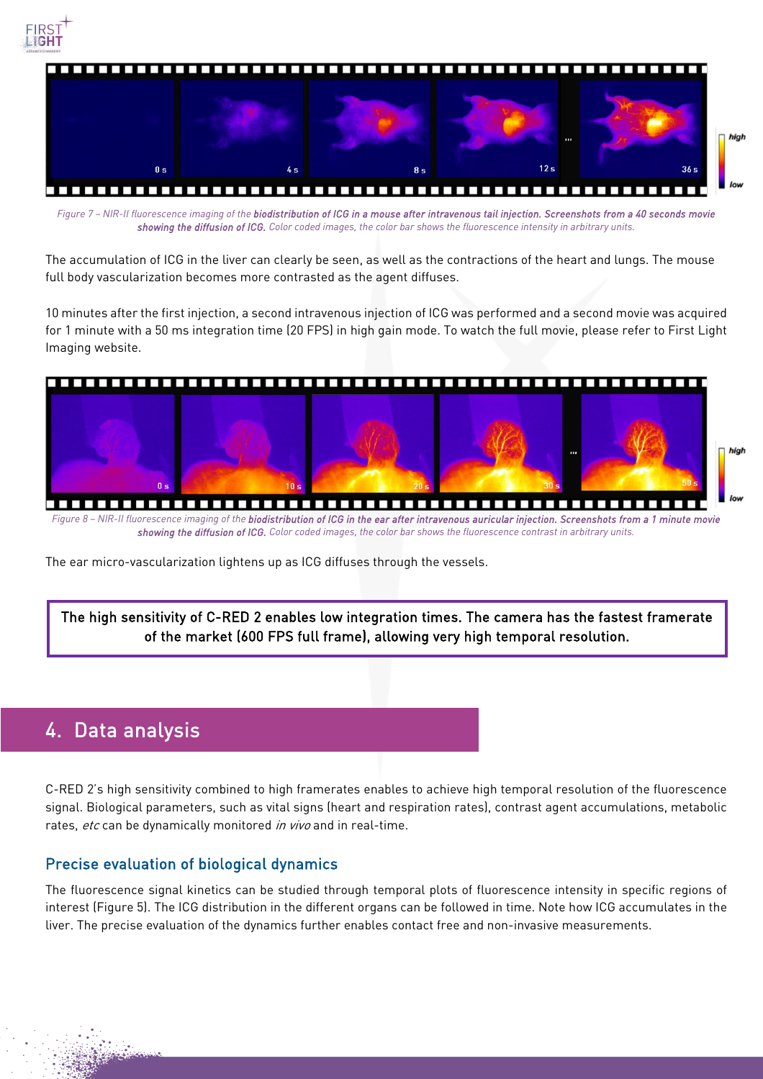



Figure 7 - NIR-II fluorescence imaging of the biodistribution of ICG in a mouse after intravenous tail injection. Screenshots from a 40 seconds movie *showing the diffusion of ICG. Color coded images, the color bar shows the fluorescence intensity in arbitrary units.*

The accumulation of ICG in the liver can clearly be seen, as well as the contractions of the heart and lungs. The mouse full body vascularization becomes more contrasted as the agent diffuses.

10 minutes after the first injection, a second intravenous injection of ICG was performed and a second movie was acquired for 1 minute with a 50 ms integration time (20 FPS) in high gain mode. To watch the full movie, please refer to First Light Imaging website.



The ear micro-vascularization lightens up as ICG diffuses through the vessels.

The high sensitivity of C-RED 2 enables low integration times. The camera has the fastest framerate of the market (600 FPS full frame), allowing very high temporal resolution.

## 4. Data analysis

C-RED 2's high sensitivity combined to high framerates enables to achieve high temporal resolution of the fluorescence signal. Biological parameters, such as vital signs (heart and respiration rates), contrast agent accumulations, metabolic rates, etc can be dynamically monitored in vivo and in real-time.

### Precise evaluation of biological dynamics

The fluorescence signal kinetics can be studied through temporal plots of fluorescence intensity in specific regions of interest (Figure 5). The ICG distribution in the different organs can be followed in time. Note how ICG accumulates in the liver. The precise evaluation of the dynamics further enables contact free and non-invasive measurements.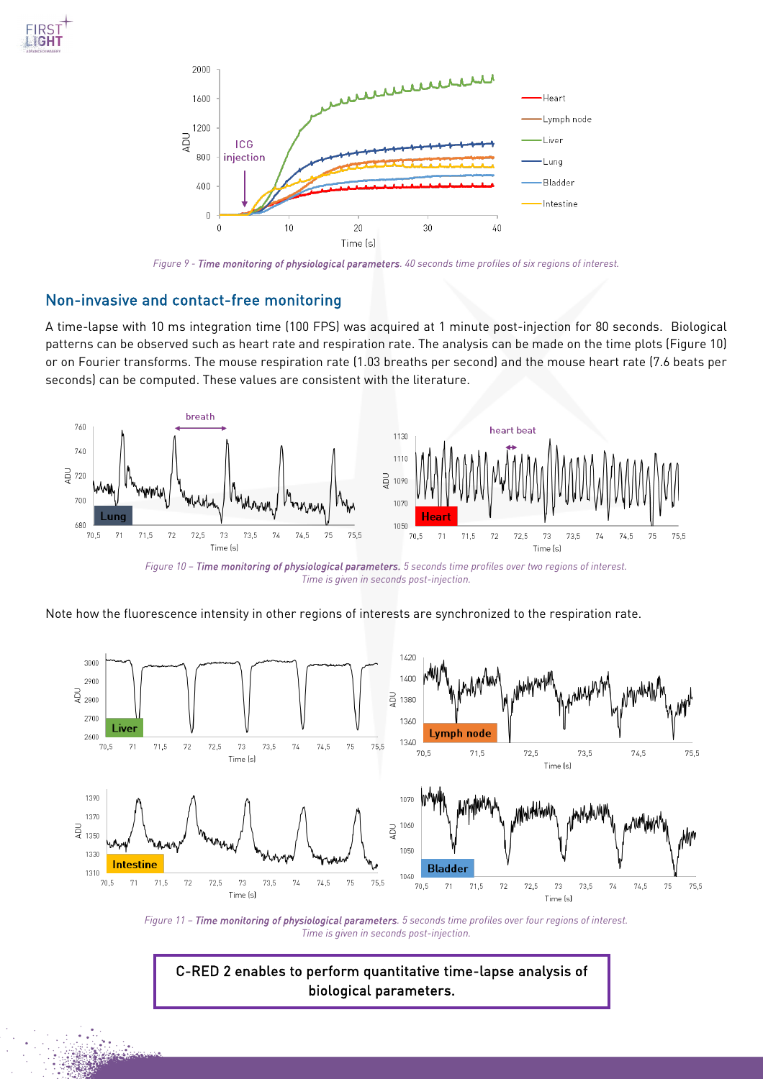



*Figure 9 - Time monitoring of physiological parameters. 40 seconds time profiles of six regions of interest.*

#### Non-invasive and contact-free monitoring

A time-lapse with 10 ms integration time (100 FPS) was acquired at 1 minute post-injection for 80 seconds. Biological patterns can be observed such as heart rate and respiration rate. The analysis can be made on the time plots (Figure 10) or on Fourier transforms. The mouse respiration rate (1.03 breaths per second) and the mouse heart rate (7.6 beats per seconds) can be computed. These values are consistent with the literature.



*Figure 10 – Time monitoring of physiological parameters. 5 seconds time profiles over two regions of interest. Time is given in seconds post-injection.* 

Note how the fluorescence intensity in other regions of interests are synchronized to the respiration rate.



*Figure 11 – Time monitoring of physiological parameters. 5 seconds time profiles over four regions of interest. Time is given in seconds post-injection.* 

C-RED 2 enables to perform quantitative time-lapse analysis of biological parameters.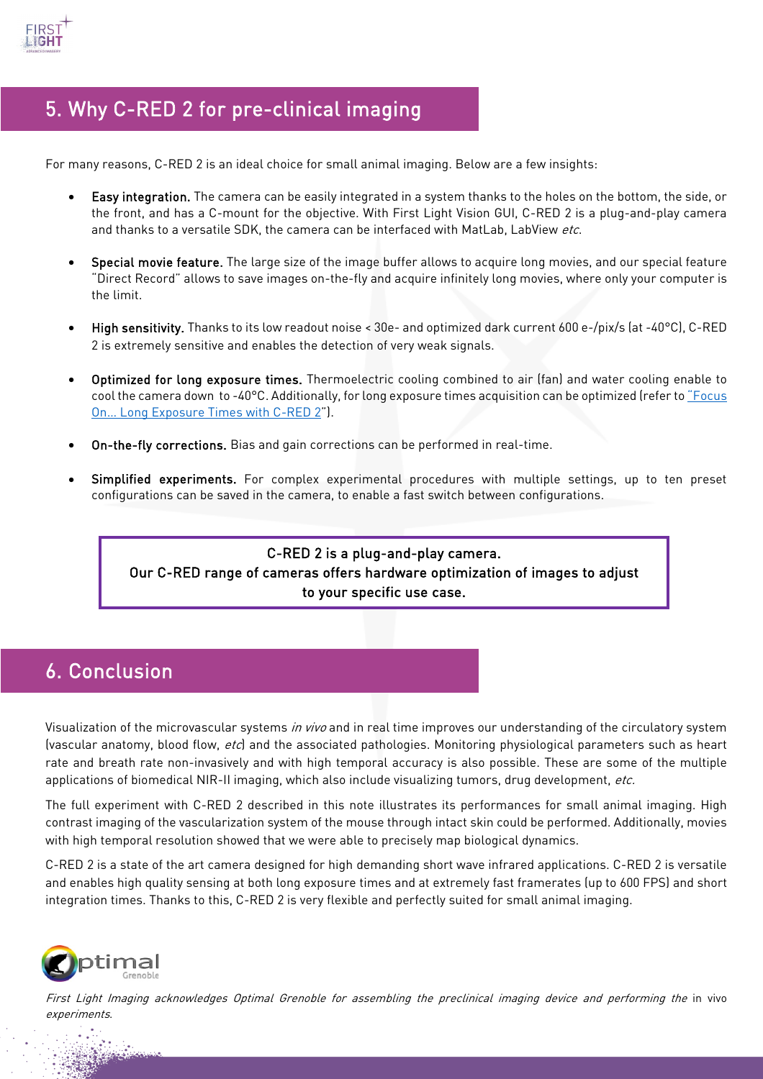

# 5. Why C-RED 2 for pre-clinical imaging

For many reasons, C-RED 2 is an ideal choice for small animal imaging. Below are a few insights:

- Easy integration. The camera can be easily integrated in a system thanks to the holes on the bottom, the side, or the front, and has a C-mount for the objective. With First Light Vision GUI, C-RED 2 is a plug-and-play camera and thanks to a versatile SDK, the camera can be interfaced with MatLab, LabView etc.
- Special movie feature. The large size of the image buffer allows to acquire long movies, and our special feature "Direct Record" allows to save images on-the-fly and acquire infinitely long movies, where only your computer is the limit.
- High sensitivity. Thanks to its low readout noise < 30e- and optimized dark current 600 e-/pix/s (at -40°C), C-RED 2 is extremely sensitive and enables the detection of very weak signals.
- Optimized for long exposure times. Thermoelectric cooling combined to air (fan) and water cooling enable to cool the camera down to -40°C. Additionally, for long exposure times acquisition can be optimized (refer t[o "Focus](https://www.first-light-imaging.com/wp-content/uploads/2020/06/FOCUS_Long-Exposures-times_200526.pdf)  [On… Long Exposure Times with C-RED 2"](https://www.first-light-imaging.com/wp-content/uploads/2020/06/FOCUS_Long-Exposures-times_200526.pdf)).
- On-the-fly corrections. Bias and gain corrections can be performed in real-time.
- Simplified experiments. For complex experimental procedures with multiple settings, up to ten preset configurations can be saved in the camera, to enable a fast switch between configurations.

### C-RED 2 is a plug-and-play camera. Our C-RED range of cameras offers hardware optimization of images to adjust to your specific use case.

# 6. Conclusion

Visualization of the microvascular systems in vivo and in real time improves our understanding of the circulatory system (vascular anatomy, blood flow, etc) and the associated pathologies. Monitoring physiological parameters such as heart rate and breath rate non-invasively and with high temporal accuracy is also possible. These are some of the multiple applications of biomedical NIR-II imaging, which also include visualizing tumors, drug development, etc.

The full experiment with C-RED 2 described in this note illustrates its performances for small animal imaging. High contrast imaging of the vascularization system of the mouse through intact skin could be performed. Additionally, movies with high temporal resolution showed that we were able to precisely map biological dynamics.

C-RED 2 is a state of the art camera designed for high demanding short wave infrared applications. C-RED 2 is versatile and enables high quality sensing at both long exposure times and at extremely fast framerates (up to 600 FPS) and short integration times. Thanks to this, C-RED 2 is very flexible and perfectly suited for small animal imaging.



First Light Imaging acknowledges Optimal Grenoble for assembling the preclinical imaging device and performing the in vivo experiments.